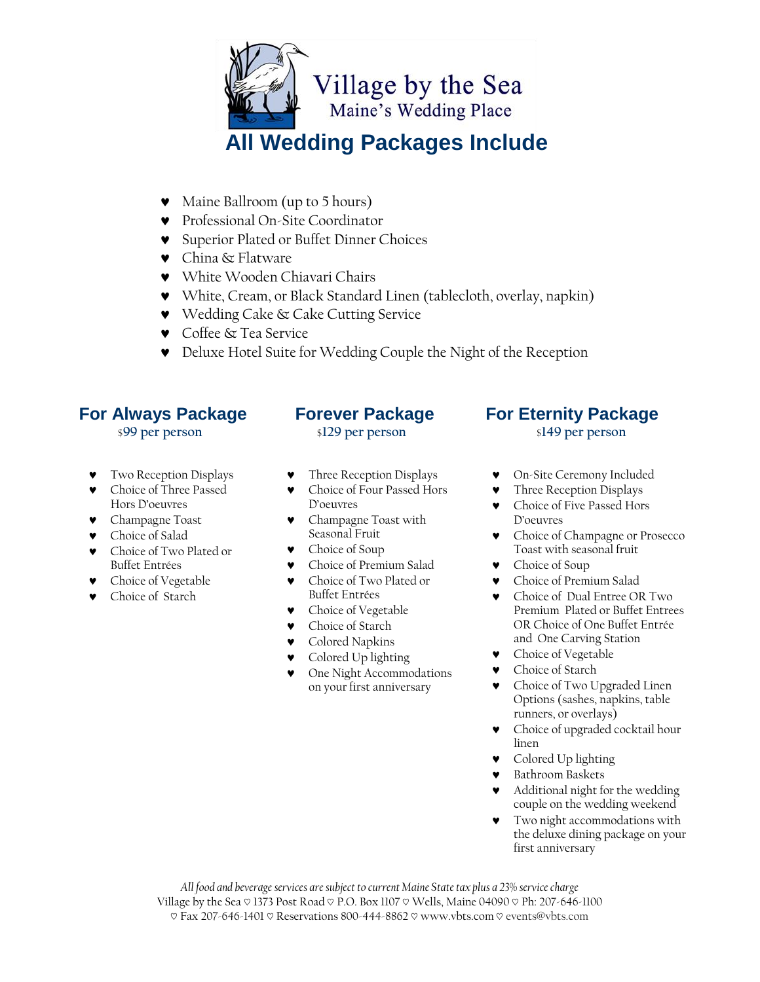

## **All Wedding Packages Include**

- Maine Ballroom (up to 5 hours)
- Professional On-Site Coordinator
- Superior Plated or Buffet Dinner Choices
- China & Flatware
- White Wooden Chiavari Chairs
- White, Cream, or Black Standard Linen (tablecloth, overlay, napkin)
- Wedding Cake & Cake Cutting Service
- Coffee & Tea Service
- Deluxe Hotel Suite for Wedding Couple the Night of the Reception

## **For Always Package**

### \$**99 per person**

- Two Reception Displays
- Choice of Three Passed Hors D'oeuvres
- Champagne Toast
- Choice of Salad
- Choice of Two Plated or Buffet Entrées
- Choice of Vegetable
- Choice of Starch

#### **Forever Package** \$**129 per person**

- Three Reception Displays
- Choice of Four Passed Hors D'oeuvres
- Champagne Toast with Seasonal Fruit
- Choice of Soup
- Choice of Premium Salad
- Choice of Two Plated or Buffet Entrées
- Choice of Vegetable
- Choice of Starch
- Colored Napkins
- Colored Up lighting
- One Night Accommodations on your first anniversary

### **For Eternity Package** \$**149 per person**

- On-Site Ceremony Included
- Three Reception Displays
- Choice of Five Passed Hors D'oeuvres
- Choice of Champagne or Prosecco Toast with seasonal fruit
- Choice of Soup
- Choice of Premium Salad
- Choice of Dual Entree OR Two Premium Plated or Buffet Entrees OR Choice of One Buffet Entrée and One Carving Station
- **v** Choice of Vegetable
- **v** Choice of Starch
- **v** Choice of Two Upgraded Linen Options (sashes, napkins, table runners, or overlays)
- Choice of upgraded cocktail hour linen
- **v** Colored Up lighting
- Bathroom Baskets
- Additional night for the wedding couple on the wedding weekend
- Two night accommodations with the deluxe dining package on your first anniversary

*All food and beverage services are subject to current Maine State tax plus a 23% service charge* Village by the Sea  $\heartsuit$  1373 Post Road  $\heartsuit$  P.O. Box 1107  $\heartsuit$  Wells, Maine 04090  $\heartsuit$  Ph: 207-646-1100 ♡ Fax 207-646-1401 ♡ Reservations 800-444-8862 ♡ www.vbts.com ♡ events@vbts.com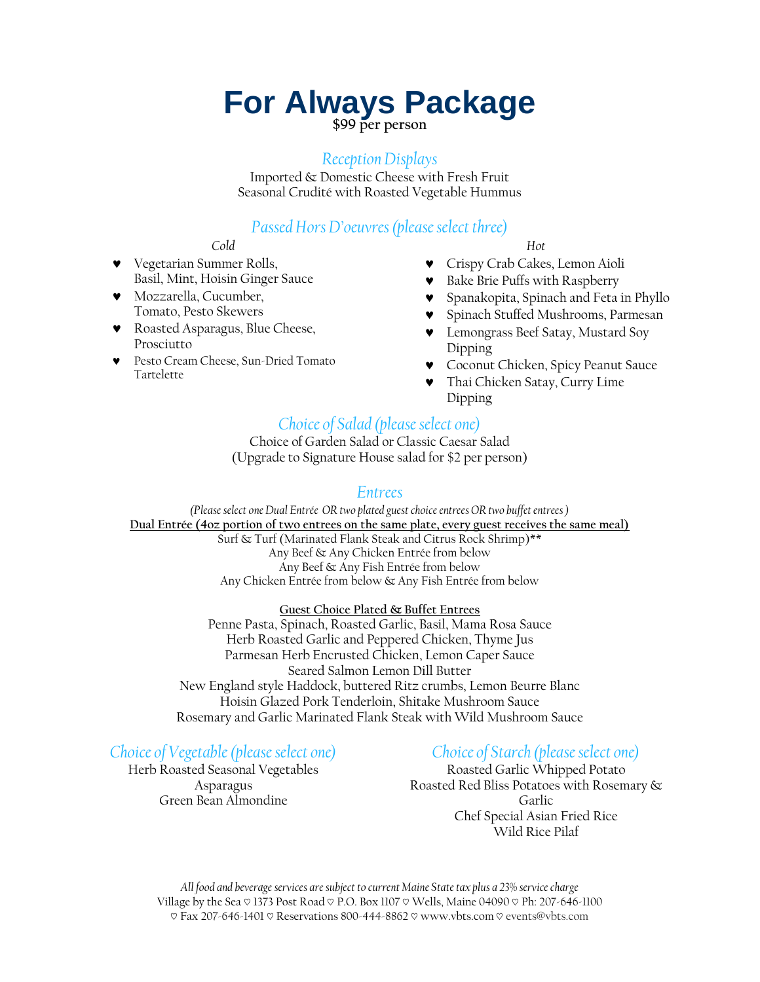## **For Always Package**

**\$99 per person**

#### *Reception Displays*

Imported & Domestic Cheese with Fresh Fruit Seasonal Crudité with Roasted Vegetable Hummus

### *Passed Hors D'oeuvres (please select three)*

#### *Cold*

- Vegetarian Summer Rolls, Basil, Mint, Hoisin Ginger Sauce
- Mozzarella, Cucumber, Tomato, Pesto Skewers
- Roasted Asparagus, Blue Cheese, Prosciutto
- Pesto Cream Cheese, Sun-Dried Tomato Tartelette

#### *Hot*

- Crispy Crab Cakes, Lemon Aioli
- Bake Brie Puffs with Raspberry
- Spanakopita, Spinach and Feta in Phyllo
- Spinach Stuffed Mushrooms, Parmesan
- Lemongrass Beef Satay, Mustard Soy Dipping
- Coconut Chicken, Spicy Peanut Sauce
- Thai Chicken Satay, Curry Lime Dipping

## *Choice of Salad (please select one)*

Choice of Garden Salad or Classic Caesar Salad (Upgrade to Signature House salad for \$2 per person)

#### *Entrees*

*(Please select one Dual Entrée OR two plated guest choice entrees OR two buffet entrees )*  **Dual Entrée (4oz portion of two entrees on the same plate, every guest receives the same meal)** Surf & Turf (Marinated Flank Steak and Citrus Rock Shrimp)\*\* Any Beef & Any Chicken Entrée from below Any Beef & Any Fish Entrée from below Any Chicken Entrée from below & Any Fish Entrée from below

#### **Guest Choice Plated & Buffet Entrees**

Penne Pasta, Spinach, Roasted Garlic, Basil, Mama Rosa Sauce Herb Roasted Garlic and Peppered Chicken, Thyme Jus Parmesan Herb Encrusted Chicken, Lemon Caper Sauce Seared Salmon Lemon Dill Butter New England style Haddock, buttered Ritz crumbs, Lemon Beurre Blanc Hoisin Glazed Pork Tenderloin, Shitake Mushroom Sauce Rosemary and Garlic Marinated Flank Steak with Wild Mushroom Sauce

### *Choice of Vegetable(please select one)*

Herb Roasted Seasonal Vegetables Asparagus Green Bean Almondine

## *Choice of Starch (please select one)*

Roasted Garlic Whipped Potato Roasted Red Bliss Potatoes with Rosemary & Garlic Chef Special Asian Fried Rice Wild Rice Pilaf

*All food and beverage services are subject to current Maine State tax plus a 23% service charge* Village by the Sea  $\heartsuit$  1373 Post Road  $\heartsuit$  P.O. Box 1107  $\heartsuit$  Wells, Maine 04090  $\heartsuit$  Ph: 207-646-1100 ♡ Fax 207-646-1401 ♡ Reservations 800-444-8862 ♡ www.vbts.com ♡ events@vbts.com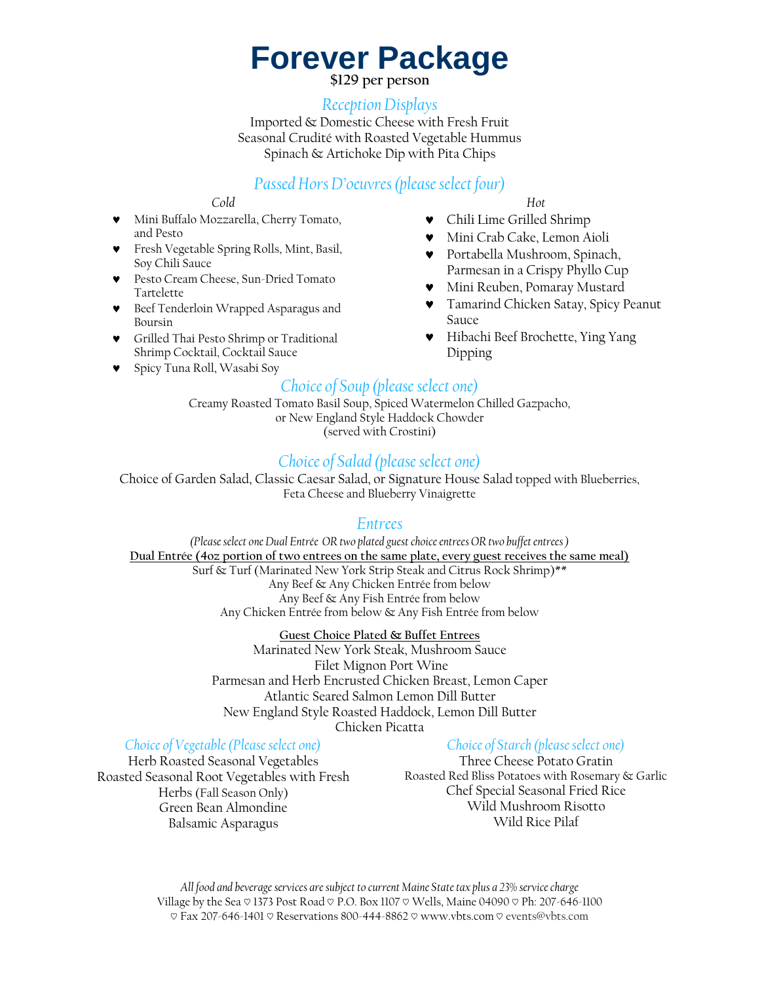## **Forever Package**

**\$129 per person**

#### *Reception Displays*

Imported & Domestic Cheese with Fresh Fruit Seasonal Crudité with Roasted Vegetable Hummus Spinach & Artichoke Dip with Pita Chips

### *Passed Hors D'oeuvres (please select four)*

#### *Cold*

- Mini Buffalo Mozzarella, Cherry Tomato, and Pesto
- Fresh Vegetable Spring Rolls, Mint, Basil, Soy Chili Sauce
- Pesto Cream Cheese, Sun-Dried Tomato Tartelette
- Beef Tenderloin Wrapped Asparagus and Boursin
- Grilled Thai Pesto Shrimp or Traditional Shrimp Cocktail, Cocktail Sauce
- Spicy Tuna Roll, Wasabi Soy
- *Hot*
- Chili Lime Grilled Shrimp
- Mini Crab Cake, Lemon Aioli
- Portabella Mushroom, Spinach, Parmesan in a Crispy Phyllo Cup
- Mini Reuben, Pomaray Mustard
- **v** Tamarind Chicken Satay, Spicy Peanut Sauce
- Hibachi Beef Brochette, Ying Yang Dipping

#### *Choice of Soup (please select one)*

Creamy Roasted Tomato Basil Soup, Spiced Watermelon Chilled Gazpacho, or New England Style Haddock Chowder (served with Crostini)

### *Choice of Salad (please select one)*

Choice of Garden Salad, Classic Caesar Salad, or Signature House Salad topped with Blueberries, Feta Cheese and Blueberry Vinaigrette

#### *Entrees*

*(Please select one Dual Entrée OR two plated guest choice entrees OR two buffet entrees )*  **Dual Entrée (4oz portion of two entrees on the same plate, every guest receives the same meal)** Surf & Turf (Marinated New York Strip Steak and Citrus Rock Shrimp)\*\* Any Beef & Any Chicken Entrée from below Any Beef & Any Fish Entrée from below Any Chicken Entrée from below & Any Fish Entrée from below

#### **Guest Choice Plated & Buffet Entrees**

Marinated New York Steak, Mushroom Sauce Filet Mignon Port Wine Parmesan and Herb Encrusted Chicken Breast, Lemon Caper Atlantic Seared Salmon Lemon Dill Butter New England Style Roasted Haddock, Lemon Dill Butter Chicken Picatta

#### *Choice of Vegetable(Please select one)*

#### Herb Roasted Seasonal Vegetables Roasted Seasonal Root Vegetables with Fresh Herbs (Fall Season Only) Green Bean Almondine Balsamic Asparagus

#### *Choice of Starch (please select one)*

Three Cheese Potato Gratin Roasted Red Bliss Potatoes with Rosemary & Garlic Chef Special Seasonal Fried Rice Wild Mushroom Risotto Wild Rice Pilaf

*All food and beverage services are subject to current Maine State tax plus a 23% service charge* Village by the Sea  $\heartsuit$  1373 Post Road  $\heartsuit$  P.O. Box 1107  $\heartsuit$  Wells, Maine 04090  $\heartsuit$  Ph: 207-646-1100 ♡ Fax 207-646-1401 ♡ Reservations 800-444-8862 ♡ www.vbts.com ♡ events@vbts.com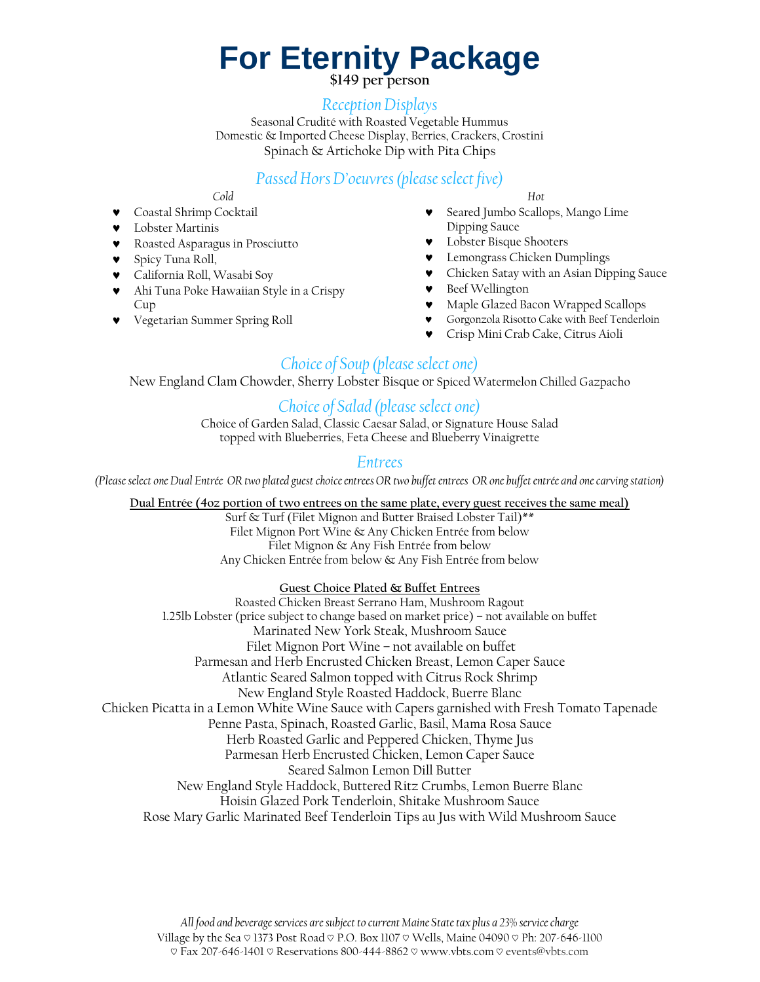# **For Eternity Package**

**\$149 per person**

#### *Reception Displays*

Seasonal Crudité with Roasted Vegetable Hummus Domestic & Imported Cheese Display, Berries, Crackers, Crostini Spinach & Artichoke Dip with Pita Chips

## *Passed Hors D'oeuvres (please select five)*

*Cold*

- Coastal Shrimp Cocktail
- Lobster Martinis
- Roasted Asparagus in Prosciutto
- Spicy Tuna Roll,
- California Roll, Wasabi Soy
- Ahi Tuna Poke Hawaiian Style in a Crispy Cup
- Vegetarian Summer Spring Roll

*Hot*

- Seared Jumbo Scallops, Mango Lime Dipping Sauce
- Lobster Bisque Shooters
- Lemongrass Chicken Dumplings
- Chicken Satay with an Asian Dipping Sauce
- Beef Wellington
- Maple Glazed Bacon Wrapped Scallops
- Gorgonzola Risotto Cake with Beef Tenderloin
- Crisp Mini Crab Cake, Citrus Aioli

## *Choice of Soup (please select one)*

New England Clam Chowder, Sherry Lobster Bisque or Spiced Watermelon Chilled Gazpacho

### *Choice of Salad (please select one)*

Choice of Garden Salad, Classic Caesar Salad, or Signature House Salad topped with Blueberries, Feta Cheese and Blueberry Vinaigrette

### *Entrees*

*(Pleaseselect one Dual Entrée OR two plated guest choice entrees OR two buffet entrees OR one buffet entrée and one carving station)* 

**Dual Entrée (4oz portion of two entrees on the same plate, every guest receives the same meal)**

Surf & Turf (Filet Mignon and Butter Braised Lobster Tail)\*\* Filet Mignon Port Wine & Any Chicken Entrée from below Filet Mignon & Any Fish Entrée from below Any Chicken Entrée from below & Any Fish Entrée from below

#### **Guest Choice Plated & Buffet Entrees**

Roasted Chicken Breast Serrano Ham, Mushroom Ragout 1.25lb Lobster (price subject to change based on market price) – not available on buffet Marinated New York Steak, Mushroom Sauce Filet Mignon Port Wine – not available on buffet Parmesan and Herb Encrusted Chicken Breast, Lemon Caper Sauce Atlantic Seared Salmon topped with Citrus Rock Shrimp New England Style Roasted Haddock, Buerre Blanc Chicken Picatta in a Lemon White Wine Sauce with Capers garnished with Fresh Tomato Tapenade Penne Pasta, Spinach, Roasted Garlic, Basil, Mama Rosa Sauce Herb Roasted Garlic and Peppered Chicken, Thyme Jus Parmesan Herb Encrusted Chicken, Lemon Caper Sauce Seared Salmon Lemon Dill Butter New England Style Haddock, Buttered Ritz Crumbs, Lemon Buerre Blanc Hoisin Glazed Pork Tenderloin, Shitake Mushroom Sauce Rose Mary Garlic Marinated Beef Tenderloin Tips au Jus with Wild Mushroom Sauce